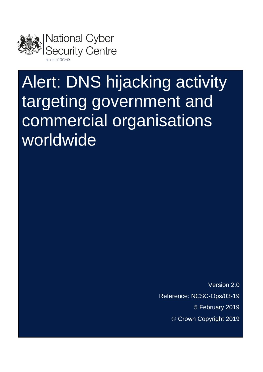

# Alert: DNS hijacking activity targeting government and commercial organisations worldwide

Version 2.0 Reference: NCSC-Ops/03-19 5 February 2019 © Crown Copyright 2019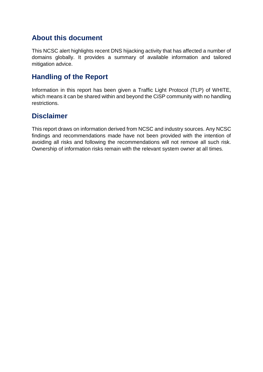# **About this document**

This NCSC alert highlights recent DNS hijacking activity that has affected a number of domains globally. It provides a summary of available information and tailored mitigation advice.

# **Handling of the Report**

Information in this report has been given a Traffic Light Protocol (TLP) of WHITE, which means it can be shared within and beyond the CiSP community with no handling restrictions.

# **Disclaimer**

This report draws on information derived from NCSC and industry sources. Any NCSC findings and recommendations made have not been provided with the intention of avoiding all risks and following the recommendations will not remove all such risk. Ownership of information risks remain with the relevant system owner at all times.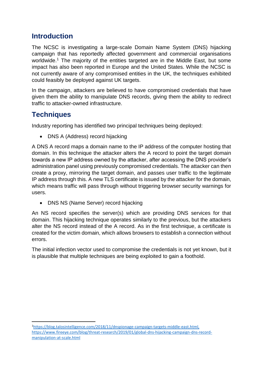# **Introduction**

The NCSC is investigating a large-scale Domain Name System (DNS) hijacking campaign that has reportedly affected government and commercial organisations worldwide.<sup>1</sup> The majority of the entities targeted are in the Middle East, but some impact has also been reported in Europe and the United States. While the NCSC is not currently aware of any compromised entities in the UK, the techniques exhibited could feasibly be deployed against UK targets.

In the campaign, attackers are believed to have compromised credentials that have given them the ability to manipulate DNS records, giving them the ability to redirect traffic to attacker-owned infrastructure.

# **Techniques**

**.** 

Industry reporting has identified two principal techniques being deployed:

• DNS A (Address) record hijacking

A DNS A record maps a domain name to the IP address of the computer hosting that domain. In this technique the attacker alters the A record to point the target domain towards a new IP address owned by the attacker, after accessing the DNS provider's administration panel using previously compromised credentials. The attacker can then create a proxy, mirroring the target domain, and passes user traffic to the legitimate IP address through this. A new TLS certificate is issued by the attacker for the domain, which means traffic will pass through without triggering browser security warnings for users.

• DNS NS (Name Server) record hijacking

An NS record specifies the server(s) which are providing DNS services for that domain. This hijacking technique operates similarly to the previous, but the attackers alter the NS record instead of the A record. As in the first technique, a certificate is created for the victim domain, which allows browsers to establish a connection without errors.

The initial infection vector used to compromise the credentials is not yet known, but it is plausible that multiple techniques are being exploited to gain a foothold.

<sup>1</sup>https://blog.talosintelligence.com/2018/11/dnspionage-campaign-targets-middle-east.html, [https://www.fireeye.com/blog/threat-research/2019/01/global-dns-hijacking-campaign-dns-record](https://www.fireeye.com/blog/threat-research/2019/01/global-dns-hijacking-campaign-dns-record-manipulation-at-scale.html)[manipulation-at-scale.html](https://www.fireeye.com/blog/threat-research/2019/01/global-dns-hijacking-campaign-dns-record-manipulation-at-scale.html)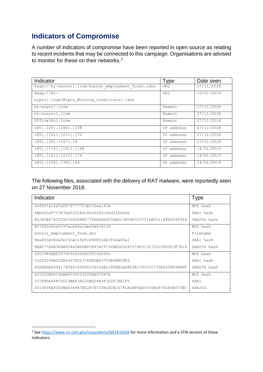# **Indicators of Compromise**

A number of indicators of compromise have been reported in open source as relating to recent incidents that may be connected to this campaign. Organisations are advised to monitor for these on their networks.<sup>2</sup>

| Indicator                                           | <b>Type</b> | Date seen  |
|-----------------------------------------------------|-------------|------------|
| hxxp://hr-suncor[.]com/Suncor employment form[.]doc | URL         | 27/11/2018 |
| $hxxp://hr-$                                        | URL         | 10/01/2019 |
| wipro[.]com/Wipro Working Conditions[.]doc          |             |            |
| $hr-wipro[.]com$                                    | Domain      | 27/11/2018 |
| hr-suncor[.]com                                     | Domain      | 27/11/2018 |
| Office36o[.]com                                     | Domain      | 27/11/2018 |
| $185$ [.] $20$ [.] $184$ [.] $138$                  | IP address  | 27/11/2018 |
| $185$ [. 1161[. 1211[. 172                          | IP address  | 27/11/2018 |
| $185$ [.] $20$ [.] $187$ [.] 8                      | IP address  | 27/11/2018 |
| $185$ [.] $174$ [.] $101$ [.] $168$                 | IP address  | 14/01/2019 |
| $185$ [.] $161$ [.] $211$ [.] 79                    | IP address  | 14/01/2019 |
| 185 [.1236 [.178 [.163                              | IP address  | 14/01/2019 |

The following files, associated with the delivery of RAT malware, were reportedly seen on 27 November 2018.

| Indicator                                                        | Type        |
|------------------------------------------------------------------|-------------|
| 9c8507a1fd7d2579777723b53fee1f3e                                 | MD5 hash    |
| 48b620df71087bd333284c91e52f0cfed1f2d00e                         | SHA1 hash   |
| 82285B6743CC5E3545D8E67740A4D04C5AED138D9F31D7C16BD11188A2042969 | SHA256 hash |
| 807482efce3397ece64a1ded3d436139                                 | MD5 hash    |
| Suncor employment form.doc                                       | Filename    |
| 9ea865e000e3e15cec15efc466801bb181ba40a1                         | SHA1 hash   |
| 9EA577A4B3FAAF04A3BDDBFCB934C9752BED0D0FC579F2152751C5F6923F7E14 | SHA256 hash |
| C00C9F6EBF2979292D524ACFF19DD306                                 | MD5 hash    |
| 1022620DA25DB2497DC237ADEDB53755E6B859E3                         | SHA1 hash   |
| 45A9EDB24D4174592C69D9D37A534A518FBE2A88D3817FC0CC739E455883B8FF | SHA256 hash |
| D2052CB9016DAB6592C532D5EA47CB7E                                 | MD5 hash    |
| 1C1FBDA6FFC4D19BE63A630BD2483F3D2F7AA1F5                         | SHA1        |
| 2010F38EF300BE4349E7BC287E720B1ECEC678CACBF0EA0556BCF765F6E073EC | SHA256      |

1

<sup>&</sup>lt;sup>2</sup> See<https://www.us-cert.gov/ncas/alerts/AA19-024A> for more information and a STIX version of these indicators.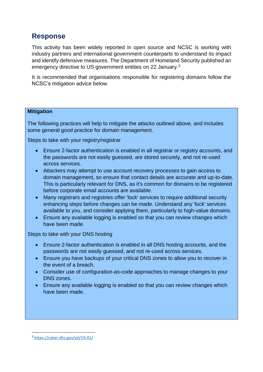# **Response**

This activity has been widely reported in open source and NCSC is working with industry partners and international government counterparts to understand its impact and identify defensive measures. The Department of Homeland Security published an emergency directive to US government entities on 22 January.<sup>3</sup>

It is recommended that organisations responsible for registering domains follow the NCSC's mitigation advice below.

## **Mitigation**

The following practices will help to mitigate the attacks outlined above, and includes some general good practice for domain management.

Steps to take with your registry/registrar

- Ensure 2-factor authentication is enabled in all registrar or registry accounts, and the passwords are not easily guessed, are stored securely, and not re-used across services.
- Attackers may attempt to use account recovery processes to gain access to domain management, so ensure that contact details are accurate and up-to-date. This is particularly relevant for DNS, as it's common for domains to be registered before corporate email accounts are available.
- Many registrars and registries offer 'lock' services to require additional security enhancing steps before changes can be made. Understand any 'lock' services available to you, and consider applying them, particularly to high-value domains.
- Ensure any available logging is enabled so that you can review changes which have been made.

Steps to take with your DNS hosting

- Ensure 2-factor authentication is enabled in all DNS hosting accounts, and the passwords are not easily guessed, and not re-used across services.
- Ensure you have backups of your critical DNS zones to allow you to recover in the event of a breach.
- Consider use of configuration-as-code approaches to manage changes to your DNS zones.
- Ensure any available logging is enabled so that you can review changes which have been made.

**.** 

<sup>3</sup> <https://cyber.dhs.gov/ed/19-01/>